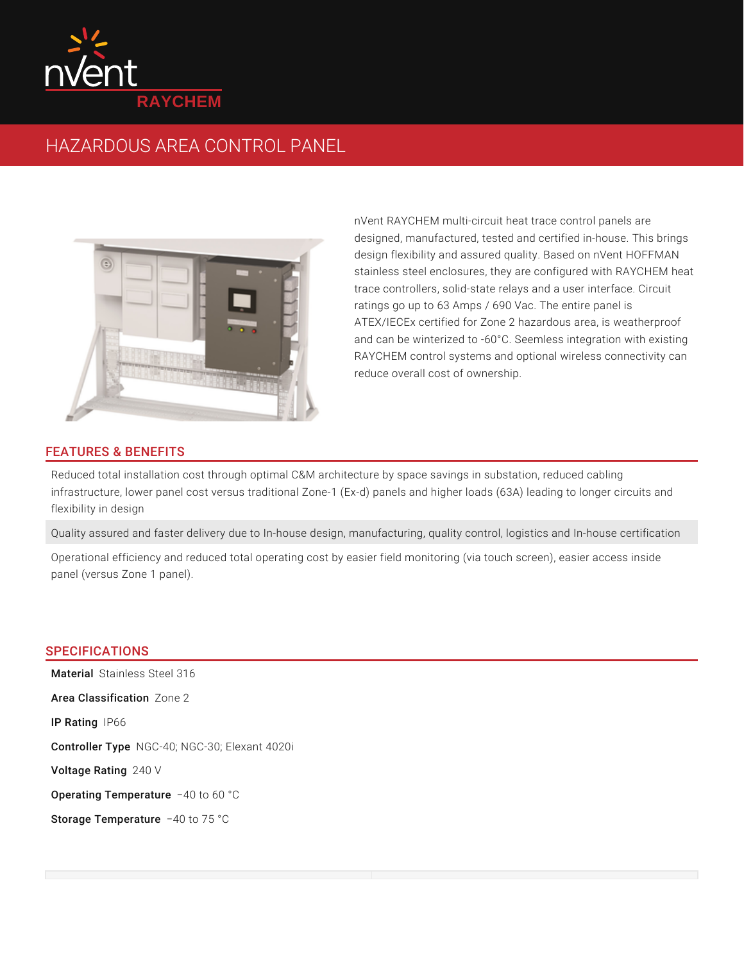

## HAZARDOUS AREA CONTROL PANEL



nVent RAYCHEM multi-circuit heat trace control panels are designed, manufactured, tested and certified in-house. This brings design flexibility and assured quality. Based on nVent HOFFMAN stainless steel enclosures, they are configured with RAYCHEM heat trace controllers, solid-state relays and a user interface. Circuit ratings go up to 63 Amps / 690 Vac. The entire panel is ATEX/IECEx certified for Zone 2 hazardous area, is weatherproof and can be winterized to -60°C. Seemless integration with existing RAYCHEM control systems and optional wireless connectivity can reduce overall cost of ownership.

## FEATURES & BENEFITS

Reduced total installation cost through optimal C&M architecture by space savings in substation, reduced cabling infrastructure, lower panel cost versus traditional Zone-1 (Ex-d) panels and higher loads (63A) leading to longer circuits and flexibility in design

Quality assured and faster delivery due to In-house design, manufacturing, quality control, logistics and In-house certification

Operational efficiency and reduced total operating cost by easier field monitoring (via touch screen), easier access inside panel (versus Zone 1 panel).

## **SPECIFICATIONS**

Material Stainless Steel 316 Area Classification Zone 2 **IP Rating IP66** Controller Type NGC-40; NGC-30; Elexant 4020i **Voltage Rating** 240 V Operating Temperature -40 to 60 °C Storage Temperature -40 to 75 °C